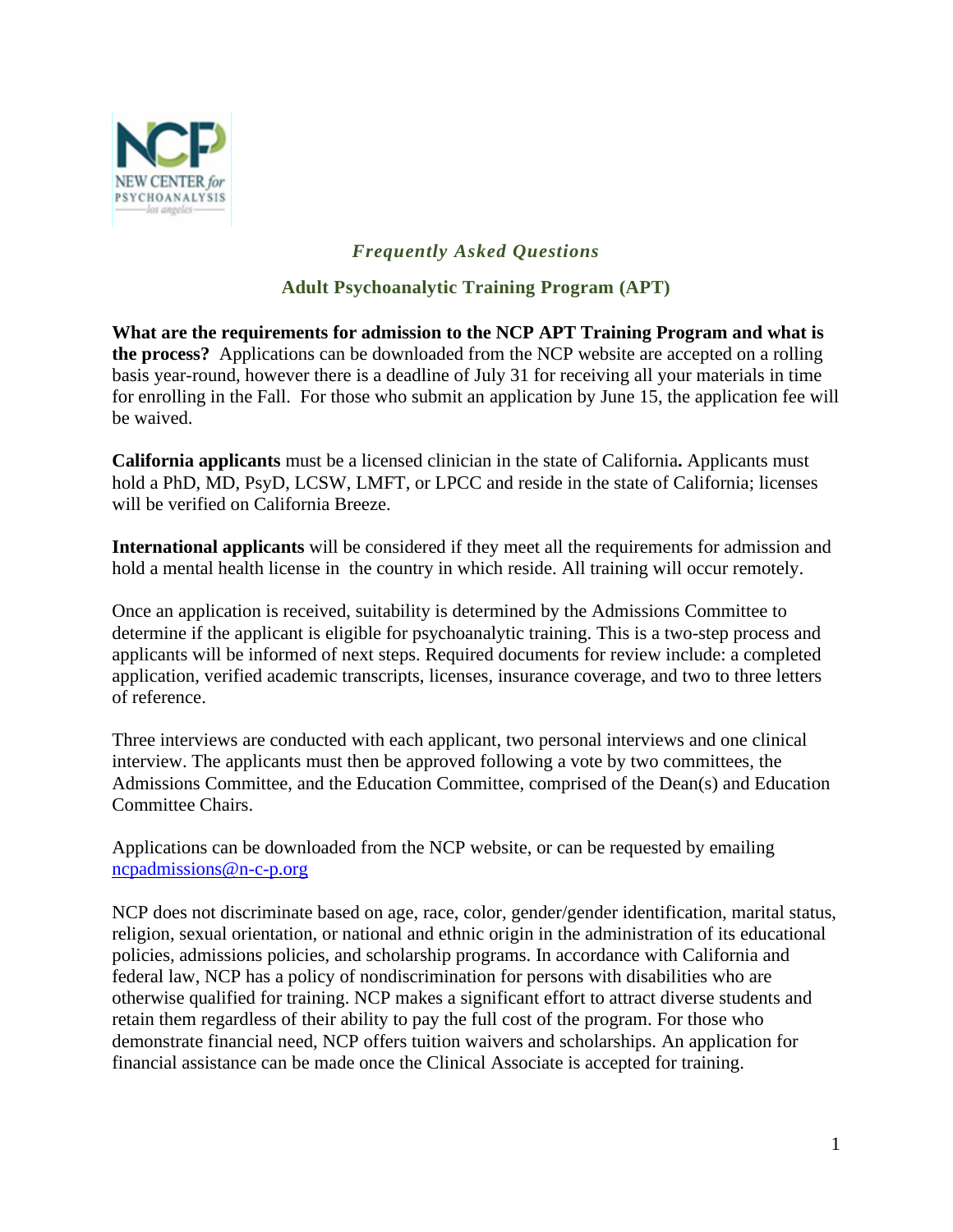

## *Frequently Asked Questions*

## **Adult Psychoanalytic Training Program (APT)**

**What are the requirements for admission to the NCP APT Training Program and what is the process?** Applications can be downloaded from the NCP website are accepted on a rolling basis year-round, however there is a deadline of July 31 for receiving all your materials in time for enrolling in the Fall. For those who submit an application by June 15, the application fee will be waived.

**California applicants** must be a licensed clinician in the state of California**.** Applicants must hold a PhD, MD, PsyD, LCSW, LMFT, or LPCC and reside in the state of California; licenses will be verified on California Breeze.

**International applicants** will be considered if they meet all the requirements for admission and hold a mental health license in the country in which reside. All training will occur remotely.

Once an application is received, suitability is determined by the Admissions Committee to determine if the applicant is eligible for psychoanalytic training. This is a two-step process and applicants will be informed of next steps. Required documents for review include: a completed application, verified academic transcripts, licenses, insurance coverage, and two to three letters of reference.

Three interviews are conducted with each applicant, two personal interviews and one clinical interview. The applicants must then be approved following a vote by two committees, the Admissions Committee, and the Education Committee, comprised of the Dean(s) and Education Committee Chairs.

Applications can be downloaded from the NCP website, or can be requested by emailing ncpadmissions@n-c-p.org

NCP does not discriminate based on age, race, color, gender/gender identification, marital status, religion, sexual orientation, or national and ethnic origin in the administration of its educational policies, admissions policies, and scholarship programs. In accordance with California and federal law, NCP has a policy of nondiscrimination for persons with disabilities who are otherwise qualified for training. NCP makes a significant effort to attract diverse students and retain them regardless of their ability to pay the full cost of the program. For those who demonstrate financial need, NCP offers tuition waivers and scholarships. An application for financial assistance can be made once the Clinical Associate is accepted for training.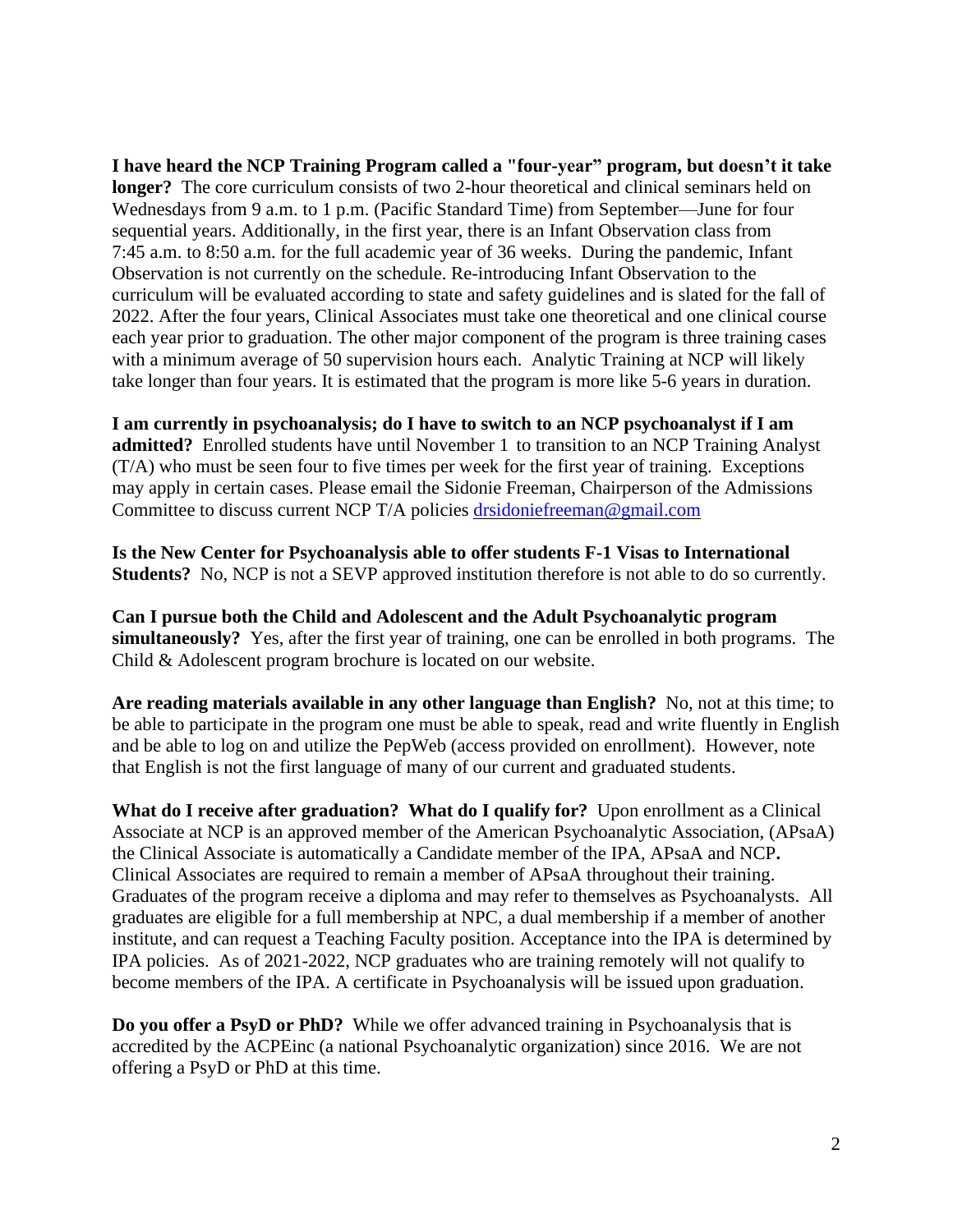**I have heard the NCP Training Program called a "four-year" program, but doesn't it take longer?** The core curriculum consists of two 2-hour theoretical and clinical seminars held on Wednesdays from 9 a.m. to 1 p.m. (Pacific Standard Time) from September—June for four sequential years. Additionally, in the first year, there is an Infant Observation class from 7:45 a.m. to 8:50 a.m. for the full academic year of 36 weeks. During the pandemic, Infant Observation is not currently on the schedule. Re-introducing Infant Observation to the curriculum will be evaluated according to state and safety guidelines and is slated for the fall of 2022. After the four years, Clinical Associates must take one theoretical and one clinical course each year prior to graduation. The other major component of the program is three training cases with a minimum average of 50 supervision hours each. Analytic Training at NCP will likely take longer than four years. It is estimated that the program is more like 5-6 years in duration.

**I am currently in psychoanalysis; do I have to switch to an NCP psychoanalyst if I am admitted?** Enrolled students have until November 1 to transition to an NCP Training Analyst (T/A) who must be seen four to five times per week for the first year of training. Exceptions may apply in certain cases. Please email the Sidonie Freeman, Chairperson of the Admissions Committee to discuss current NCP T/A policies [drsidoniefreeman@gmail.com](http://drsidoniefreeman@gmail.com)

**Is the New Center for Psychoanalysis able to offer students F-1 Visas to International Students?** No, NCP is not a SEVP approved institution therefore is not able to do so currently.

**Can I pursue both the Child and Adolescent and the Adult Psychoanalytic program simultaneously?** Yes, after the first year of training, one can be enrolled in both programs. The Child & Adolescent program brochure is located on our website.

**Are reading materials available in any other language than English?** No, not at this time; to be able to participate in the program one must be able to speak, read and write fluently in English and be able to log on and utilize the PepWeb (access provided on enrollment). However, note that English is not the first language of many of our current and graduated students.

**What do I receive after graduation? What do I qualify for?** Upon enrollment as a Clinical Associate at NCP is an approved member of the American Psychoanalytic Association, (APsaA) the Clinical Associate is automatically a Candidate member of the IPA, APsaA and NCP**.** Clinical Associates are required to remain a member of APsaA throughout their training. Graduates of the program receive a diploma and may refer to themselves as Psychoanalysts. All graduates are eligible for a full membership at NPC, a dual membership if a member of another institute, and can request a Teaching Faculty position. Acceptance into the IPA is determined by IPA policies. As of 2021-2022, NCP graduates who are training remotely will not qualify to become members of the IPA. A certificate in Psychoanalysis will be issued upon graduation.

**Do you offer a PsyD or PhD?** While we offer advanced training in Psychoanalysis that is accredited by the ACPEinc (a national Psychoanalytic organization) since 2016. We are not offering a PsyD or PhD at this time.